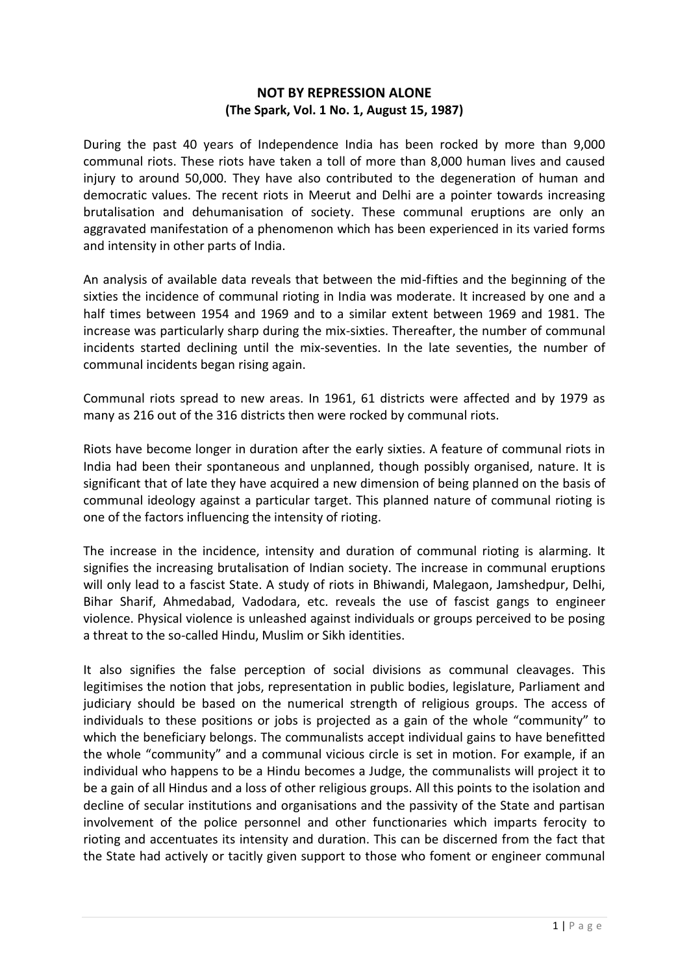## **NOT BY REPRESSION ALONE (The Spark, Vol. 1 No. 1, August 15, 1987)**

During the past 40 years of Independence India has been rocked by more than 9,000 communal riots. These riots have taken a toll of more than 8,000 human lives and caused injury to around 50,000. They have also contributed to the degeneration of human and democratic values. The recent riots in Meerut and Delhi are a pointer towards increasing brutalisation and dehumanisation of society. These communal eruptions are only an aggravated manifestation of a phenomenon which has been experienced in its varied forms and intensity in other parts of India.

An analysis of available data reveals that between the mid-fifties and the beginning of the sixties the incidence of communal rioting in India was moderate. It increased by one and a half times between 1954 and 1969 and to a similar extent between 1969 and 1981. The increase was particularly sharp during the mix-sixties. Thereafter, the number of communal incidents started declining until the mix-seventies. In the late seventies, the number of communal incidents began rising again.

Communal riots spread to new areas. In 1961, 61 districts were affected and by 1979 as many as 216 out of the 316 districts then were rocked by communal riots.

Riots have become longer in duration after the early sixties. A feature of communal riots in India had been their spontaneous and unplanned, though possibly organised, nature. It is significant that of late they have acquired a new dimension of being planned on the basis of communal ideology against a particular target. This planned nature of communal rioting is one of the factors influencing the intensity of rioting.

The increase in the incidence, intensity and duration of communal rioting is alarming. It signifies the increasing brutalisation of Indian society. The increase in communal eruptions will only lead to a fascist State. A study of riots in Bhiwandi, Malegaon, Jamshedpur, Delhi, Bihar Sharif, Ahmedabad, Vadodara, etc. reveals the use of fascist gangs to engineer violence. Physical violence is unleashed against individuals or groups perceived to be posing a threat to the so-called Hindu, Muslim or Sikh identities.

It also signifies the false perception of social divisions as communal cleavages. This legitimises the notion that jobs, representation in public bodies, legislature, Parliament and judiciary should be based on the numerical strength of religious groups. The access of individuals to these positions or jobs is projected as a gain of the whole "community" to which the beneficiary belongs. The communalists accept individual gains to have benefitted the whole "community" and a communal vicious circle is set in motion. For example, if an individual who happens to be a Hindu becomes a Judge, the communalists will project it to be a gain of all Hindus and a loss of other religious groups. All this points to the isolation and decline of secular institutions and organisations and the passivity of the State and partisan involvement of the police personnel and other functionaries which imparts ferocity to rioting and accentuates its intensity and duration. This can be discerned from the fact that the State had actively or tacitly given support to those who foment or engineer communal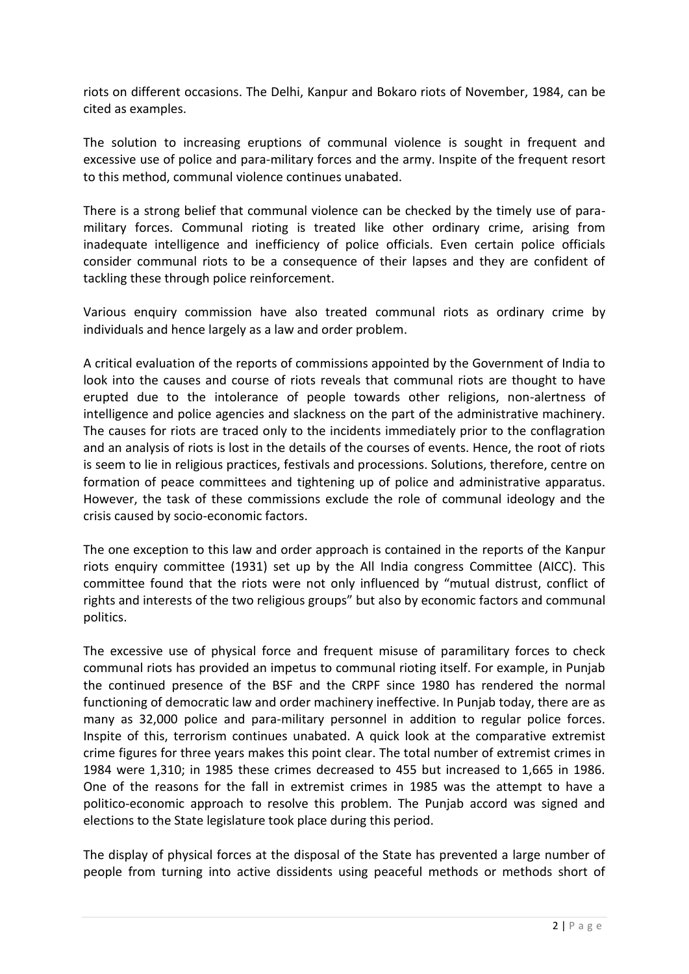riots on different occasions. The Delhi, Kanpur and Bokaro riots of November, 1984, can be cited as examples.

The solution to increasing eruptions of communal violence is sought in frequent and excessive use of police and para-military forces and the army. Inspite of the frequent resort to this method, communal violence continues unabated.

There is a strong belief that communal violence can be checked by the timely use of paramilitary forces. Communal rioting is treated like other ordinary crime, arising from inadequate intelligence and inefficiency of police officials. Even certain police officials consider communal riots to be a consequence of their lapses and they are confident of tackling these through police reinforcement.

Various enquiry commission have also treated communal riots as ordinary crime by individuals and hence largely as a law and order problem.

A critical evaluation of the reports of commissions appointed by the Government of India to look into the causes and course of riots reveals that communal riots are thought to have erupted due to the intolerance of people towards other religions, non-alertness of intelligence and police agencies and slackness on the part of the administrative machinery. The causes for riots are traced only to the incidents immediately prior to the conflagration and an analysis of riots is lost in the details of the courses of events. Hence, the root of riots is seem to lie in religious practices, festivals and processions. Solutions, therefore, centre on formation of peace committees and tightening up of police and administrative apparatus. However, the task of these commissions exclude the role of communal ideology and the crisis caused by socio-economic factors.

The one exception to this law and order approach is contained in the reports of the Kanpur riots enquiry committee (1931) set up by the All India congress Committee (AICC). This committee found that the riots were not only influenced by "mutual distrust, conflict of rights and interests of the two religious groups" but also by economic factors and communal politics.

The excessive use of physical force and frequent misuse of paramilitary forces to check communal riots has provided an impetus to communal rioting itself. For example, in Punjab the continued presence of the BSF and the CRPF since 1980 has rendered the normal functioning of democratic law and order machinery ineffective. In Punjab today, there are as many as 32,000 police and para-military personnel in addition to regular police forces. Inspite of this, terrorism continues unabated. A quick look at the comparative extremist crime figures for three years makes this point clear. The total number of extremist crimes in 1984 were 1,310; in 1985 these crimes decreased to 455 but increased to 1,665 in 1986. One of the reasons for the fall in extremist crimes in 1985 was the attempt to have a politico-economic approach to resolve this problem. The Punjab accord was signed and elections to the State legislature took place during this period.

The display of physical forces at the disposal of the State has prevented a large number of people from turning into active dissidents using peaceful methods or methods short of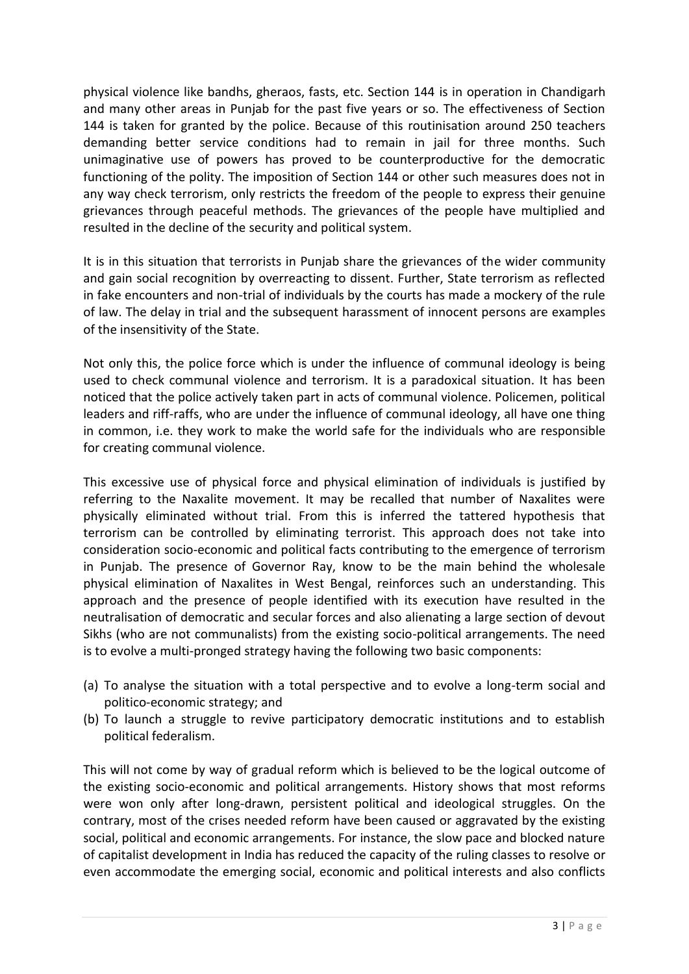physical violence like bandhs, gheraos, fasts, etc. Section 144 is in operation in Chandigarh and many other areas in Punjab for the past five years or so. The effectiveness of Section 144 is taken for granted by the police. Because of this routinisation around 250 teachers demanding better service conditions had to remain in jail for three months. Such unimaginative use of powers has proved to be counterproductive for the democratic functioning of the polity. The imposition of Section 144 or other such measures does not in any way check terrorism, only restricts the freedom of the people to express their genuine grievances through peaceful methods. The grievances of the people have multiplied and resulted in the decline of the security and political system.

It is in this situation that terrorists in Punjab share the grievances of the wider community and gain social recognition by overreacting to dissent. Further, State terrorism as reflected in fake encounters and non-trial of individuals by the courts has made a mockery of the rule of law. The delay in trial and the subsequent harassment of innocent persons are examples of the insensitivity of the State.

Not only this, the police force which is under the influence of communal ideology is being used to check communal violence and terrorism. It is a paradoxical situation. It has been noticed that the police actively taken part in acts of communal violence. Policemen, political leaders and riff-raffs, who are under the influence of communal ideology, all have one thing in common, i.e. they work to make the world safe for the individuals who are responsible for creating communal violence.

This excessive use of physical force and physical elimination of individuals is justified by referring to the Naxalite movement. It may be recalled that number of Naxalites were physically eliminated without trial. From this is inferred the tattered hypothesis that terrorism can be controlled by eliminating terrorist. This approach does not take into consideration socio-economic and political facts contributing to the emergence of terrorism in Punjab. The presence of Governor Ray, know to be the main behind the wholesale physical elimination of Naxalites in West Bengal, reinforces such an understanding. This approach and the presence of people identified with its execution have resulted in the neutralisation of democratic and secular forces and also alienating a large section of devout Sikhs (who are not communalists) from the existing socio-political arrangements. The need is to evolve a multi-pronged strategy having the following two basic components:

- (a) To analyse the situation with a total perspective and to evolve a long-term social and politico-economic strategy; and
- (b) To launch a struggle to revive participatory democratic institutions and to establish political federalism.

This will not come by way of gradual reform which is believed to be the logical outcome of the existing socio-economic and political arrangements. History shows that most reforms were won only after long-drawn, persistent political and ideological struggles. On the contrary, most of the crises needed reform have been caused or aggravated by the existing social, political and economic arrangements. For instance, the slow pace and blocked nature of capitalist development in India has reduced the capacity of the ruling classes to resolve or even accommodate the emerging social, economic and political interests and also conflicts